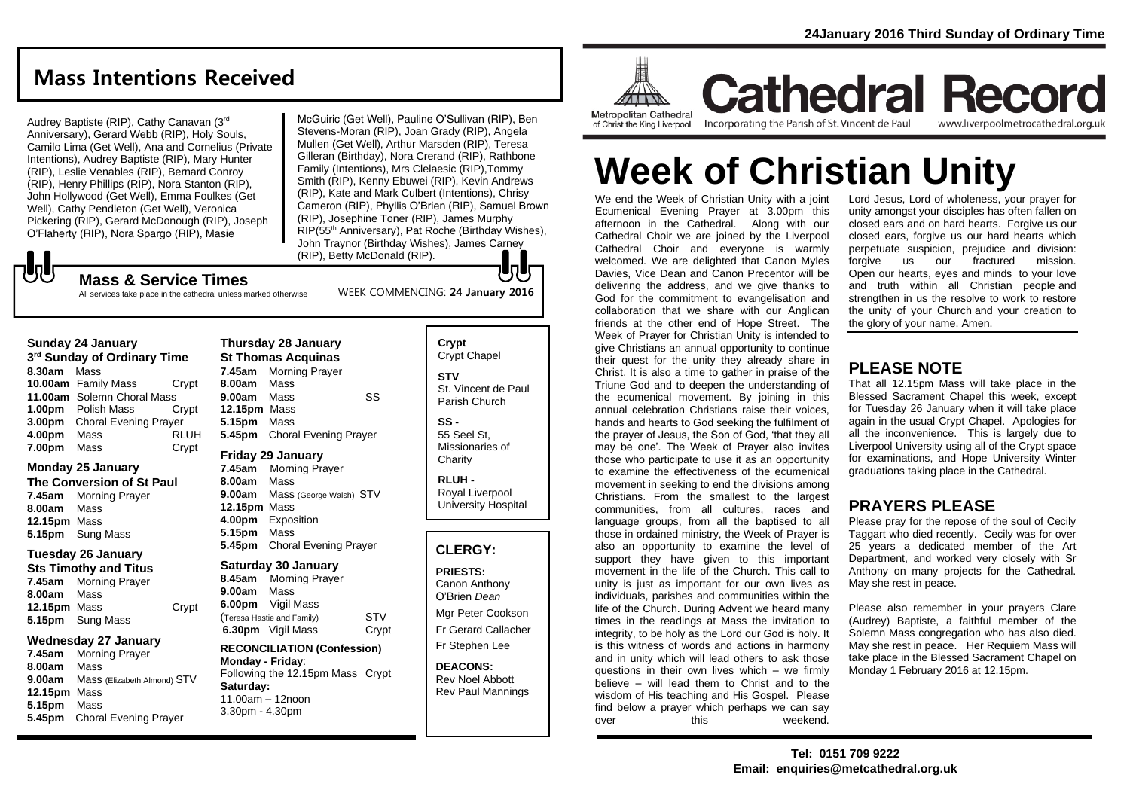## **Mass Intentions Received**

Audrey Baptiste (RIP), Cathy Canavan (3rd Anniversary), Gerard Webb (RIP), Holy Souls, Camilo Lima (Get Well), Ana and Cornelius (Private Intentions), Audrey Baptiste (RIP), Mary Hunter (RIP), Leslie Venables (RIP), Bernard Conroy (RIP), Henry Phillips (RIP), Nora Stanton (RIP), John Hollywood (Get Well), Emma Foulkes (Get Well), Cathy Pendleton (Get Well), Veronica Pickering (RIP), Gerard McDonough (RIP), Joseph O'Flaherty (RIP), Nora Spargo (RIP), Masie

McGuiric (Get Well), Pauline O'Sullivan (RIP), Ben Stevens-Moran (RIP), Joan Grady (RIP), Angela Mullen (Get Well), Arthur Marsden (RIP), Teresa Gilleran (Birthday), Nora Crerand (RIP), Rathbone Family (Intentions), Mrs Clelaesic (RIP),Tommy Smith (RIP), Kenny Ebuwei (RIP), Kevin Andrews (RIP), Kate and Mark Culbert (Intentions), Chrisy Cameron (RIP), Phyllis O'Brien (RIP), Samuel Brown (RIP), Josephine Toner (RIP), James Murphy RIP(55th Anniversary), Pat Roche (Birthday Wishes), John Traynor (Birthday Wishes), James Carney (RIP), Betty McDonald (RIP). IаL

WEEK COMMENCING: **24 January 2016**

## **しし Mass & Service Times**

All services take place in the cathedral unless marked otherwise

#### **Sunday 24 January**

**3 rd Sunday of Ordinary Time 8.30am** Mass **10.00am** Family Mass Crypt **11.00am** Solemn Choral Mass **1.00pm** Polish Mass Crypt **3.00pm** Choral Evening Prayer **4.00pm** Mass RLUH **7.00pm** Mass Crypt

## **Monday 25 January**

**The Conversion of St Paul 7.45am** Morning Prayer **8.00am** Mass **12.15pm** Mass **5.15pm** Sung Mass

## **Tuesday 26 January**

**Sts Timothy and Titus 7.45am** Morning Prayer **8.00am** Mass **12.15pm** Mass Crypt **5.15pm** Sung Mass

### **Wednesday 27 January**

**7.45am** Morning Prayer **8.00am** Mass **9.00am** Mass (Elizabeth Almond) STV **12.15pm** Mass **5.15pm** Mass **5.45pm** Choral Evening Prayer

### **Thursday 28 January St Thomas Acquinas 7.45am** Morning Prayer **8.00am** Mass **9.00am** Mass SS **12.15pm** Mass **5.15pm** Mass **5.45pm** Choral Evening Prayer

**Friday 29 January**

**7.45am** Morning Prayer **8.00am** Mass **9.00am** Mass (George Walsh) STV **12.15pm** Mass **4.00pm** Exposition **5.15pm** Mass **5.45pm** Choral Evening Prayer

### **Saturday 30 January**

**8.45am** Morning Prayer **9.00am** Mass **6.00pm** Vigil Mass (Teresa Hastie and Family) STV **6.30pm** Vigil Mass Crypt

#### **RECONCILIATION (Confession) Monday - Friday**: Following the 12.15pm Mass Crypt **Saturday:** 11.00am – 12noon 3.30pm - 4.30pm

## **Crypt**  Crypt Chapel **STV** St. Vincent de Paul Parish Church

**SS -** 55 Seel St, Missionaries of **Charity** 

**RLUH -** Royal Liverpool University Hospital

## **CLERGY:**

## **PRIESTS:**

Canon Anthony O'Brien *Dean*

Mgr Peter Cookson Fr Gerard Callacher Fr Stephen Lee

**DEACONS:** Rev Noel Abbott Rev Paul Mannings



**Cathedral Record** Incorporating the Parish of St. Vincent de Paul www.liverpoolmetrocathedral.org.uk

# **Week of Christian Unity**

We end the Week of Christian Unity with a joint Ecumenical Evening Prayer at 3.00pm this afternoon in the Cathedral. Along with our Cathedral Choir we are joined by the Liverpool Cathedral Choir and everyone is warmly welcomed. We are delighted that Canon Myles Davies, Vice Dean and Canon Precentor will be delivering the address, and we give thanks to God for the commitment to evangelisation and collaboration that we share with our Anglican friends at the other end of Hope Street. The Week of Prayer for Christian Unity is intended to give Christians an annual opportunity to continue their quest for the unity they already share in Christ. It is also a time to gather in praise of the Triune God and to deepen the understanding of the ecumenical movement. By joining in this annual celebration Christians raise their voices, hands and hearts to God seeking the fulfilment of the prayer of Jesus, the Son of God, 'that they all may be one'. The Week of Prayer also invites those who participate to use it as an opportunity to examine the effectiveness of the ecumenical movement in seeking to end the divisions among Christians. From the smallest to the largest communities, from all cultures, races and language groups, from all the baptised to all those in ordained ministry, the Week of Prayer is also an opportunity to examine the level of support they have given to this important movement in the life of the Church. This call to unity is just as important for our own lives as individuals, parishes and communities within the life of the Church. During Advent we heard many times in the readings at Mass the invitation to integrity, to be holy as the Lord our God is holy. It is this witness of words and actions in harmony and in unity which will lead others to ask those questions in their own lives which – we firmly believe – will lead them to Christ and to the wisdom of His teaching and His Gospel. Please find below a prayer which perhaps we can say over this weekend.

Lord Jesus, Lord of wholeness, your prayer for unity amongst your disciples has often fallen on closed ears and on hard hearts. Forgive us our closed ears, forgive us our hard hearts which perpetuate suspicion, prejudice and division: forgive us our fractured mission. Open our hearts, eyes and minds to your love and truth within all Christian people and strengthen in us the resolve to work to restore the unity of your Church and your creation to the glory of your name. Amen.

## **PLEASE NOTE**

That all 12.15pm Mass will take place in the Blessed Sacrament Chapel this week, except for Tuesday 26 January when it will take place again in the usual Crypt Chapel. Apologies for all the inconvenience. This is largely due to Liverpool University using all of the Crypt space for examinations, and Hope University Winter graduations taking place in the Cathedral.

## **PRAYERS PLEASE**

Please pray for the repose of the soul of Cecily Taggart who died recently. Cecily was for over 25 years a dedicated member of the Art Department, and worked very closely with Sr Anthony on many projects for the Cathedral. May she rest in peace.

Please also remember in your prayers Clare (Audrey) Baptiste, a faithful member of the Solemn Mass congregation who has also died. May she rest in peace. Her Requiem Mass will take place in the Blessed Sacrament Chapel on Monday 1 February 2016 at 12.15pm.